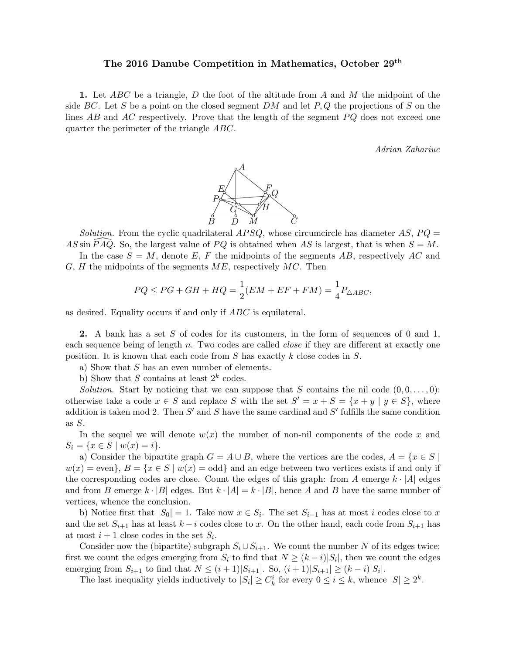## The 2016 Danube Competition in Mathematics, October 29<sup>th</sup>

1. Let ABC be a triangle, D the foot of the altitude from A and M the midpoint of the side BC. Let S be a point on the closed segment DM and let  $P,Q$  the projections of S on the lines  $AB$  and  $AC$  respectively. Prove that the length of the segment  $PQ$  does not exceed one quarter the perimeter of the triangle ABC.

Adrian Zahariuc



Solution. From the cyclic quadrilateral  $APSQ$ , whose circumcircle has diameter AS,  $PQ =$ AS sin  $\overline{P} \overline{A} \overline{Q}$ . So, the largest value of  $PQ$  is obtained when AS is largest, that is when  $S = M$ .

In the case  $S = M$ , denote E, F the midpoints of the segments AB, respectively AC and  $G, H$  the midpoints of the segments  $ME$ , respectively  $MC$ . Then

$$
PQ \le PG + GH + HQ = \frac{1}{2}(EM + EF + FM) = \frac{1}{4}P_{\triangle ABC},
$$

as desired. Equality occurs if and only if ABC is equilateral.

2. A bank has a set S of codes for its customers, in the form of sequences of 0 and 1, each sequence being of length  $n$ . Two codes are called *close* if they are different at exactly one position. It is known that each code from  $S$  has exactly  $k$  close codes in  $S$ .

a) Show that  $S$  has an even number of elements.

b) Show that S contains at least  $2^k$  codes.

Solution. Start by noticing that we can suppose that S contains the nil code  $(0, 0, \ldots, 0)$ : otherwise take a code  $x \in S$  and replace S with the set  $S' = x + S = \{x + y \mid y \in S\}$ , where addition is taken mod 2. Then  $S'$  and  $S$  have the same cardinal and  $S'$  fulfills the same condition as S.

In the sequel we will denote  $w(x)$  the number of non-nil components of the code x and  $S_i = \{x \in S \mid w(x) = i\}.$ 

a) Consider the bipartite graph  $G = A \cup B$ , where the vertices are the codes,  $A = \{x \in S \mid$  $w(x) =$ even $\}, B = \{x \in S \mid w(x) =$ odd and an edge between two vertices exists if and only if the corresponding codes are close. Count the edges of this graph: from A emerge  $k \cdot |A|$  edges and from B emerge  $k \cdot |B|$  edges. But  $k \cdot |A| = k \cdot |B|$ , hence A and B have the same number of vertices, whence the conclusion.

b) Notice first that  $|S_0| = 1$ . Take now  $x \in S_i$ . The set  $S_{i-1}$  has at most i codes close to x and the set  $S_{i+1}$  has at least  $k - i$  codes close to x. On the other hand, each code from  $S_{i+1}$  has at most  $i+1$  close codes in the set  $S_i$ .

Consider now the (bipartite) subgraph  $S_i \cup S_{i+1}$ . We count the number N of its edges twice: first we count the edges emerging from  $S_i$  to find that  $N \geq (k-i)|S_i|$ , then we count the edges emerging from  $S_{i+1}$  to find that  $N \leq (i+1)|S_{i+1}|$ . So,  $(i+1)|S_{i+1}| \geq (k-i)|S_i|$ .

The last inequality yields inductively to  $|S_i| \geq C_k^i$  for every  $0 \leq i \leq k$ , whence  $|S| \geq 2^k$ .